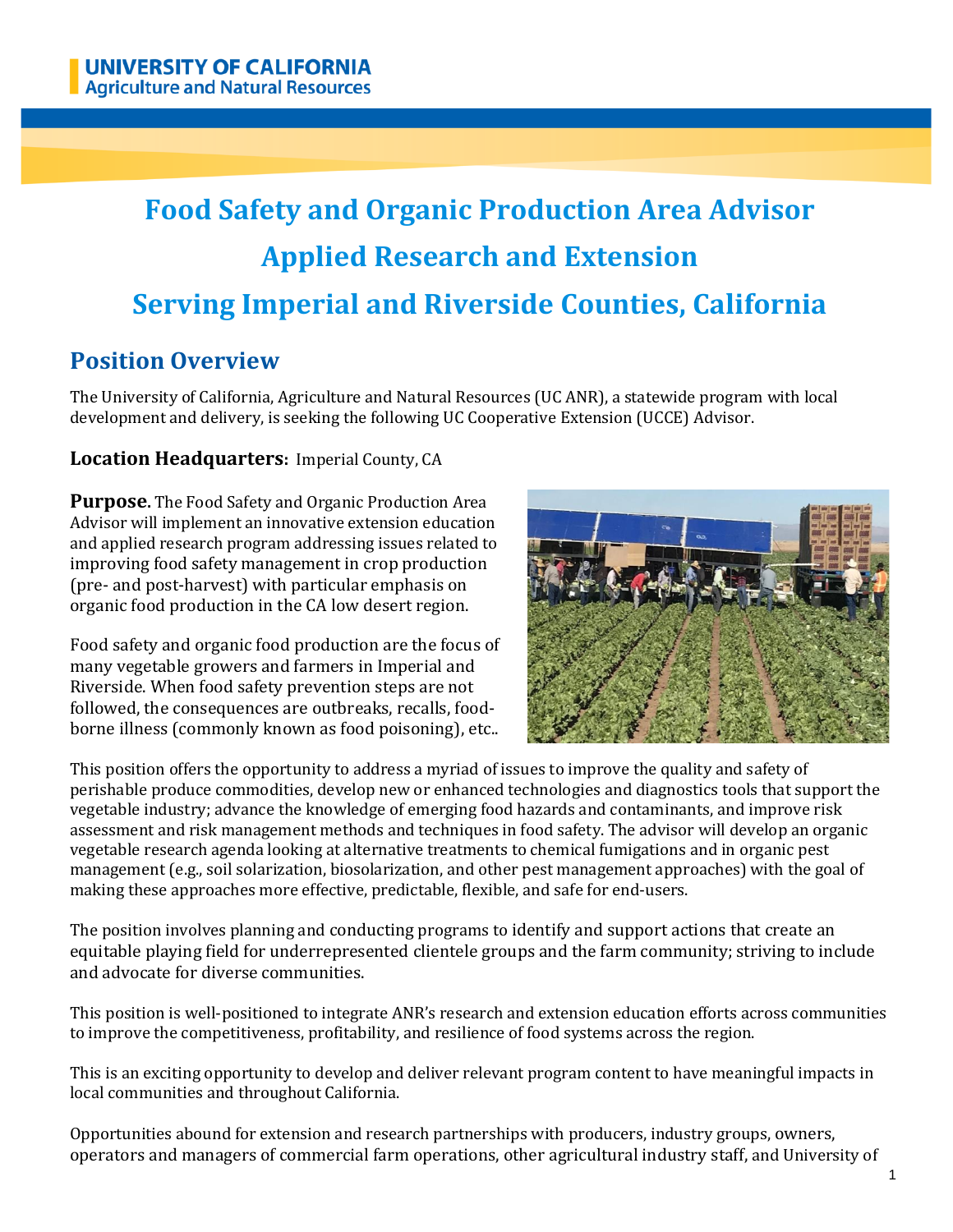# **Food Safety and Organic Production Area Advisor Applied Research and Extension Serving Imperial and Riverside Counties, California**

# **Position Overview**

The University of California, Agriculture and Natural Resources (UC ANR), a statewide program with local development and delivery, is seeking the following UC Cooperative Extension (UCCE) Advisor.

#### **Location Headquarters:** Imperial County, CA

**Purpose.** The Food Safety and Organic Production Area Advisor will implement an innovative extension education and applied research program addressing issues related to improving food safety management in crop production (pre- and post-harvest) with particular emphasis on organic food production in the CA low desert region.

Food safety and organic food production are the focus of many vegetable growers and farmers in Imperial and Riverside. When food safety prevention steps are not followed, the consequences are outbreaks, recalls, foodborne illness (commonly known as food poisoning), etc..



This position offers the opportunity to address a myriad of issues to improve the quality and safety of perishable produce commodities, develop new or enhanced technologies and diagnostics tools that support the vegetable industry; advance the knowledge of emerging food hazards and contaminants, and improve risk assessment and risk management methods and techniques in food safety. The advisor will develop an organic vegetable research agenda looking at alternative treatments to chemical fumigations and in organic pest management (e.g., soil solarization, biosolarization, and other pest management approaches) with the goal of making these approaches more effective, predictable, flexible, and safe for end-users.

The position involves planning and conducting programs to identify and support actions that create an equitable playing field for underrepresented clientele groups and the farm community; striving to include and advocate for diverse communities.

This position is well-positioned to integrate ANR's research and extension education efforts across communities to improve the competitiveness, profitability, and resilience of food systems across the region.

This is an exciting opportunity to develop and deliver relevant program content to have meaningful impacts in local communities and throughout California.

Opportunities abound for extension and research partnerships with producers, industry groups, owners, operators and managers of commercial farm operations, other agricultural industry staff, and University of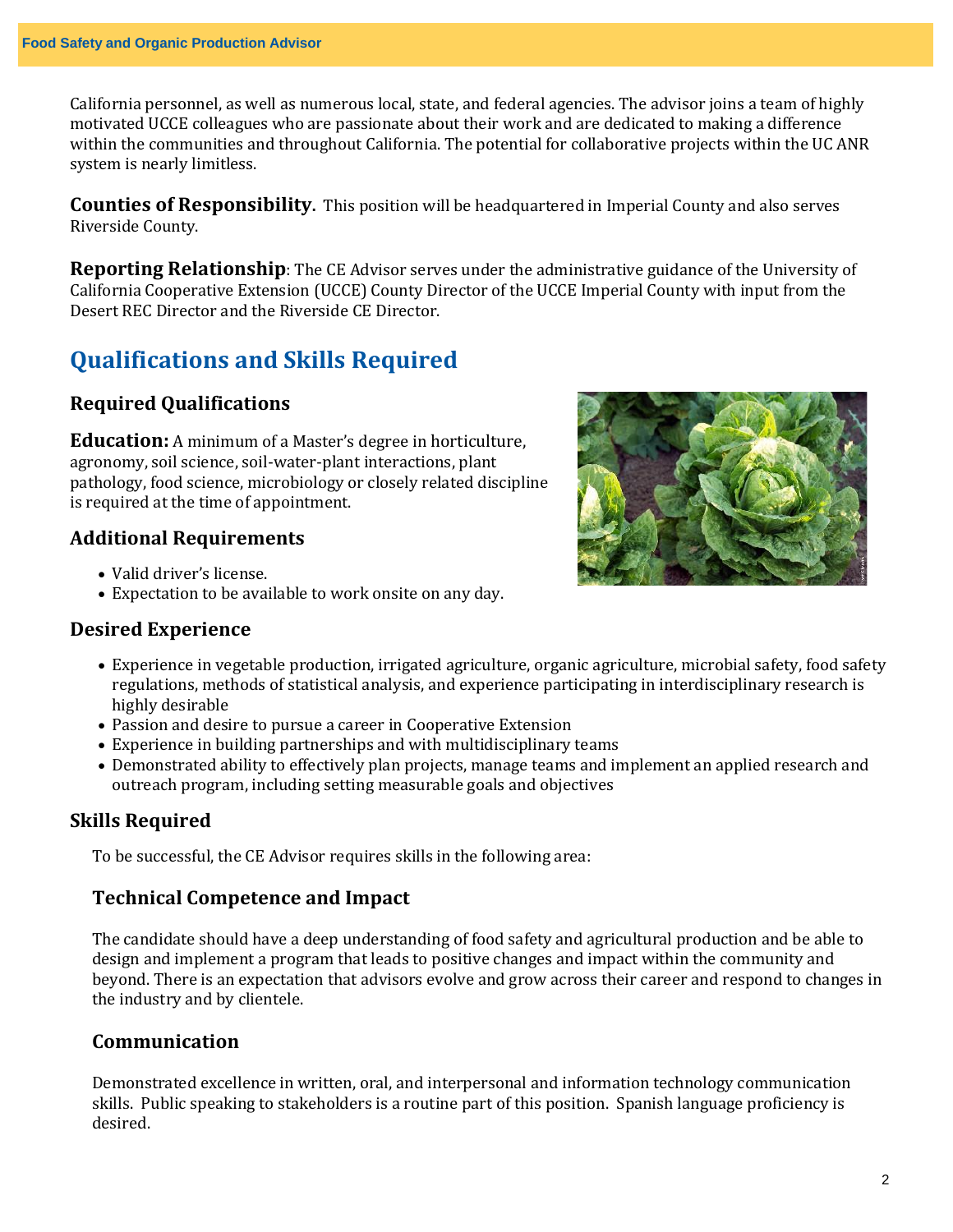California personnel, as well as numerous local, state, and federal agencies. The advisor joins a team of highly motivated UCCE colleagues who are passionate about their work and are dedicated to making a difference within the communities and throughout California. The potential for collaborative projects within the UC ANR system is nearly limitless.

**Counties of Responsibility.** This position will be headquartered in Imperial County and also serves Riverside County.

**Reporting Relationship**: The CE Advisor serves under the administrative guidance of the University of California Cooperative Extension (UCCE) County Director of the UCCE Imperial County with input from the Desert REC Director and the Riverside CE Director.

# **Qualifications and Skills Required**

#### **Required Qualifications**

**Education:** A minimum of a Master's degree in horticulture, agronomy, soil science, soil-water-plant interactions, plant pathology, food science, microbiology or closely related discipline is required at the time of appointment.

#### **Additional Requirements**

- Valid driver's license.
- Expectation to be available to work onsite on any day.

#### **Desired Experience**



- Experience in vegetable production, irrigated agriculture, organic agriculture, microbial safety, food safety regulations, methods of statistical analysis, and experience participating in interdisciplinary research is highly desirable
- Passion and desire to pursue a career in Cooperative Extension
- Experience in building partnerships and with multidisciplinary teams
- Demonstrated ability to effectively plan projects, manage teams and implement an applied research and outreach program, including setting measurable goals and objectives

#### **Skills Required**

To be successful, the CE Advisor requires skills in the following area:

#### **Technical Competence and Impact**

The candidate should have a deep understanding of food safety and agricultural production and be able to design and implement a program that leads to positive changes and impact within the community and beyond. There is an expectation that advisors evolve and grow across their career and respond to changes in the industry and by clientele.

#### **Communication**

Demonstrated excellence in written, oral, and interpersonal and information technology communication skills. Public speaking to stakeholders is a routine part of this position. Spanish language proficiency is desired.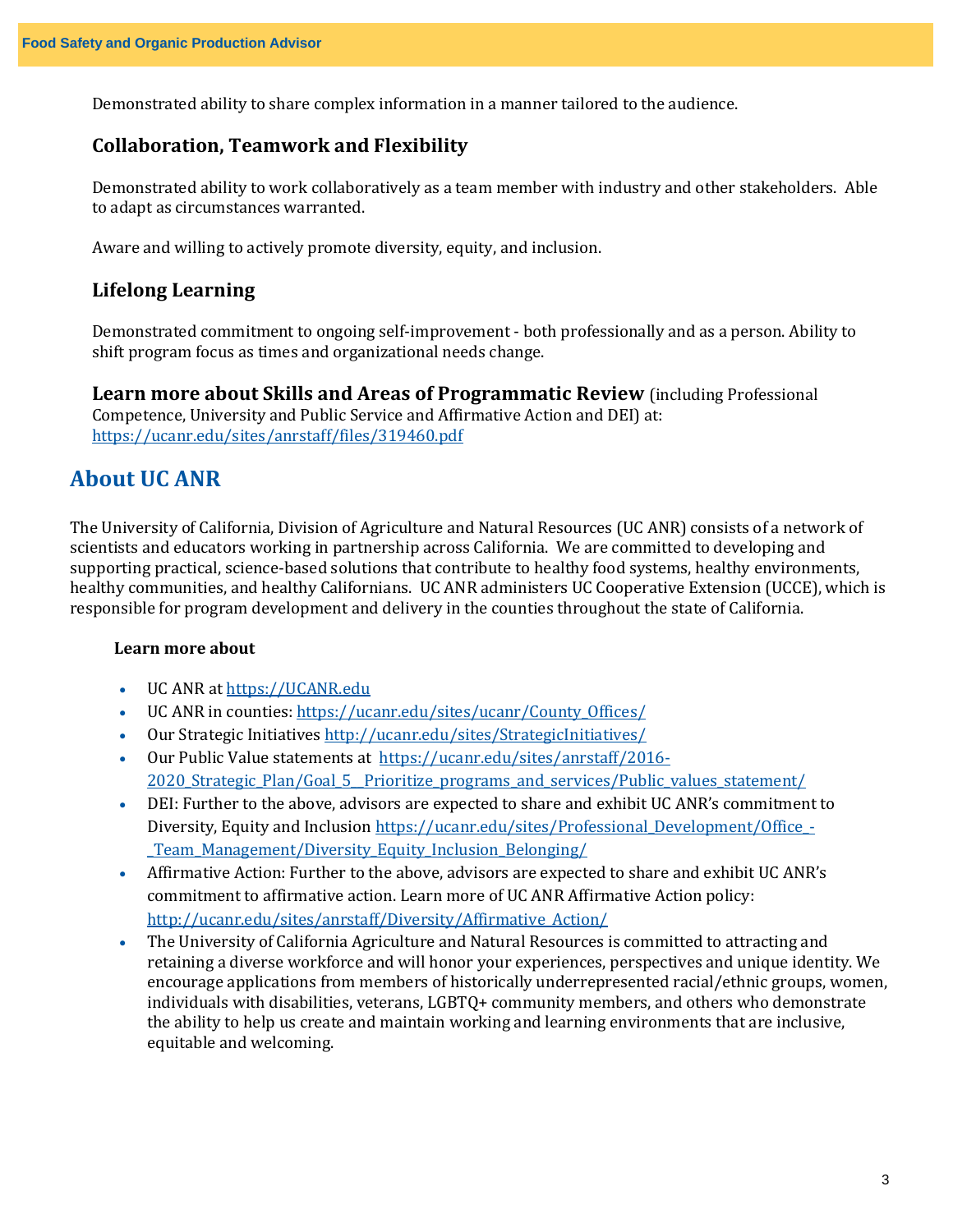Demonstrated ability to share complex information in a manner tailored to the audience.

#### **Collaboration, Teamwork and Flexibility**

Demonstrated ability to work collaboratively as a team member with industry and other stakeholders. Able to adapt as circumstances warranted.

Aware and willing to actively promote diversity, equity, and inclusion.

#### **Lifelong Learning**

Demonstrated commitment to ongoing self-improvement - both professionally and as a person. Ability to shift program focus as times and organizational needs change.

**Learn more about Skills and Areas of Programmatic Review** (including Professional Competence, University and Public Service and Affirmative Action and DEI) at: <https://ucanr.edu/sites/anrstaff/files/319460.pdf>

## **About UC ANR**

The University of California, Division of Agriculture and Natural Resources (UC ANR) consists of a network of scientists and educators working in partnership across California. We are committed to developing and supporting practical, science-based solutions that contribute to healthy food systems, healthy environments, healthy communities, and healthy Californians. UC ANR administers UC Cooperative Extension (UCCE), which is responsible for program development and delivery in the counties throughout the state of California.

#### **Learn more about**

- UC ANR a[t https://UCANR.edu](https://ucanr.edu/)
- UC ANR in counties: [https://ucanr.edu/sites/ucanr/County\\_Offices/](https://ucanr.edu/sites/ucanr/County_Offices/)
- Our Strategic Initiative[s http://ucanr.edu/sites/StrategicInitiatives/](http://ucanr.edu/sites/StrategicInitiatives/)
- Our Public Value statements at [https://ucanr.edu/sites/anrstaff/2016-](https://ucanr.edu/sites/anrstaff/2016-2020_Strategic_Plan/Goal_5__Prioritize_programs_and_services/Public_values_statement/) 2020 Strategic Plan/Goal 5 Prioritize programs and services/Public values statement/
- DEI: Further to the above, advisors are expected to share and exhibit UC ANR's commitment to Diversity, Equity and Inclusion [https://ucanr.edu/sites/Professional\\_Development/Office\\_-](https://ucanr.edu/sites/Professional_Development/Office_-_Team_Management/Diversity_Equity_Inclusion_Belonging/) [\\_Team\\_Management/Diversity\\_Equity\\_Inclusion\\_Belonging/](https://ucanr.edu/sites/Professional_Development/Office_-_Team_Management/Diversity_Equity_Inclusion_Belonging/)
- Affirmative Action: Further to the above, advisors are expected to share and exhibit UC ANR's commitment to affirmative action. Learn more of UC ANR Affirmative Action policy: [http://ucanr.edu/sites/anrstaff/Diversity/Affirmative\\_Action/](http://ucanr.edu/sites/anrstaff/Diversity/Affirmative_Action/)
- The University of California Agriculture and Natural Resources is committed to attracting and retaining a diverse workforce and will honor your experiences, perspectives and unique identity. We encourage applications from members of historically underrepresented racial/ethnic groups, women, individuals with disabilities, veterans, LGBTQ+ community members, and others who demonstrate the ability to help us create and maintain working and learning environments that are inclusive, equitable and welcoming.